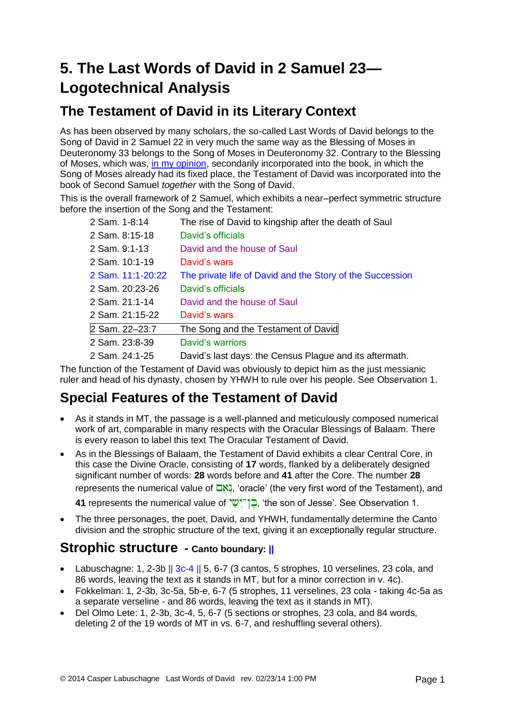# **5. The Last Words of David in 2 Samuel 23— Logotechnical Analysis**

#### **The Testament of David in its Literary Context**

As has been observed by many scholars, the so-called Last Words of David belongs to the Song of David in 2 Samuel 22 in very much the same way as the Blessing of Moses in Deuteronomy 33 belongs to the Song of Moses in Deuteronomy 32. Contrary to the Blessing of Moses, which was, [in my opinion,](http://www.labuschagne.nl/2.deut33.pdf) secondarily incorporated into the book, in which the Song of Moses already had its fixed place, the Testament of David was incorporated into the book of Second Samuel *together* with the Song of David.

This is the overall framework of 2 Samuel, which exhibits a near–perfect symmetric structure before the insertion of the Song and the Testament:

| 2 Sam. 1-8:14     | The rise of David to kingship after the death of Saul     |
|-------------------|-----------------------------------------------------------|
| 2 Sam. 8:15-18    | David's officials                                         |
| 2 Sam. 9:1-13     | David and the house of Saul                               |
| 2 Sam. 10:1-19    | David's wars                                              |
| 2 Sam. 11:1-20:22 | The private life of David and the Story of the Succession |
| 2 Sam. 20:23-26   | David's officials                                         |
| 2 Sam. 21:1-14    | David and the house of Saul                               |
| 2 Sam. 21:15-22   | David's wars                                              |
| 2 Sam. 22-23:7    | The Song and the Testament of David                       |
| 2 Sam. 23:8-39    | David's warriors                                          |
| 2 Sam. 24:1-25    | David's last days: the Census Plague and its aftermath.   |

The function of the Testament of David was obviously to depict him as the just messianic ruler and head of his dynasty, chosen by YHWH to rule over his people. See Observation 1.

## **Special Features of the Testament of David**

- As it stands in MT, the passage is a well-planned and meticulously composed numerical work of art, comparable in many respects with the Oracular Blessings of Balaam. There is every reason to label this text The Oracular Testament of David.
- As in the Blessings of Balaam, the Testament of David exhibits a clear Central Core, in this case the Divine Oracle, consisting of **17** words, flanked by a deliberately designed significant number of words: **28** words before and **41** after the Core. The number **28**

represents the numerical value of  $\Box$ <sup>\*</sup>, 'oracle' (the very first word of the Testament), and

**41** represents the numerical value of  $\frac{1}{2}$ , the son of Jesse'. See Observation 1.

• The three personages, the poet, David, and YHWH, fundamentally determine the Canto division and the strophic structure of the text, giving it an exceptionally regular structure.

#### **Strophic structure - Canto boundary: ||**

- Labuschagne: 1, 2-3b || 3c-4 || 5, 6-7 (3 cantos, 5 strophes, 10 verselines, 23 cola, and 86 words, leaving the text as it stands in MT, but for a minor correction in v. 4c).
- Fokkelman: 1, 2-3b, 3c-5a, 5b-e, 6-7 (5 strophes, 11 verselines, 23 cola taking 4c-5a as a separate verseline - and 86 words, leaving the text as it stands in MT).
- Del Olmo Lete: 1, 2-3b, 3c-4, 5, 6-7 (5 sections or strophes, 23 cola, and 84 words, deleting 2 of the 19 words of MT in vs. 6-7, and reshuffling several others).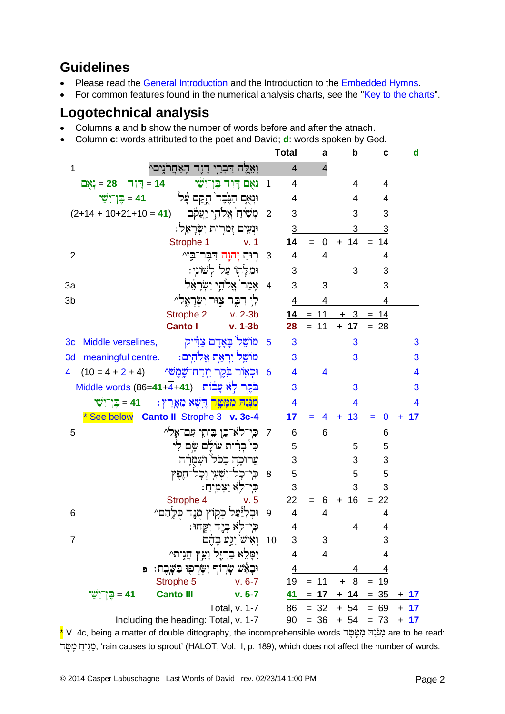## **Guidelines**

- Please read the [General Introduction](http://www.labuschagne.nl/aspects.pdf) and the Introduction to the [Embedded Hymns.](http://www.labuschagne.nl/intro.embed.pdf)
- For common features found in the numerical analysis charts, see the ["Key to the charts"](http://www.labuschagne.nl/keytocharts.pdf).

### **Logotechnical analysis**

- Columns **a** and **b** show the number of words before and after the atnach.
- Column **c**: words attributed to the poet and David; **d**: words spoken by God.

|                |                                                                         |                           | <b>Total</b>            | a              | b          | с                | d                       |
|----------------|-------------------------------------------------------------------------|---------------------------|-------------------------|----------------|------------|------------------|-------------------------|
| 1              | ואֵלֵה דִּבְרֵי דָוֶד הָאַחֲרֹנִים^                                     |                           | $\overline{4}$          | $\overline{4}$ |            |                  |                         |
|                | <b>וְאָם דְוִד בֶּן־יִשַּׁי</b><br>ַ 14 = דְיוִד 28 = נְאָם             | $\overline{1}$            | 4                       |                | 4          | 4                |                         |
|                | نتٰٰهُک בَتَرَكب لـآخا مِٓج<br>41 = בֵּן־יִשָּׁי                        |                           | 4                       |                | 4          | 4                |                         |
|                | מְשִׂיהַ` אֱלֹהֵי יַעֲקֹב (41 = 10+21+10 + 14+2)                        | $\overline{\phantom{a}2}$ | 3                       |                | 3          | 3                |                         |
|                | וּנְעִים זִמְרוֹת יִשְׂרָאֵל:                                           |                           | 3                       |                | 3          | 3                |                         |
|                | Strophe 1<br>v.1                                                        |                           | 14                      | $\mathbf 0$    | $+ 14$     | 14               |                         |
| $\overline{2}$ | רִיּחַ יְהוֶה דִּבְר־בִי^                                               | $\overline{\mathbf{3}}$   | $\overline{4}$          | 4              |            | 4                |                         |
|                | וּמִלַּתְוֹ עַל־לְשׁוֹנֵי:                                              |                           | 3                       |                | 3          | 3                |                         |
| 3a             | אָמַר`אֵלֹהֵי יִשְׂרָאֵל                                                | $\overline{4}$            | 3                       | 3              |            | 3                |                         |
| 3b             | לִי דִבֶּר צְוּר יִשְׂרָאֲלֹ^                                           |                           | 4                       | 4              |            | 4                |                         |
|                | Strophe 2 v. 2-3b                                                       |                           | 14                      | $= 11$         | 3          | 14               |                         |
|                | <b>Canto I</b><br>v. 1-3b                                               |                           | 28                      | $= 11$         | $+ 17$     | $= 28$           |                         |
| 3 <sub>c</sub> | מוֹשֵׁל בָּאָדָם צַדִּיק<br>Middle verselines,                          | $-5$                      | 3                       |                | 3          |                  | 3                       |
| 3d             | מוֹשֵׁל יִרְאַת אֱלֹהִים:<br>meaningful centre.                         |                           | 3                       |                | 3          |                  | 3                       |
| 4              | וּכְאָוֹר בְֹקֵר יִזְרַח־שֱמֶשׁ^<br>$(10 = 4 + 2 + 4)$                  | $\overline{6}$            | 4                       | 4              |            |                  | $\overline{\mathbf{4}}$ |
|                | בֹּקֶר לְאֹ עָבֹוֹת Middle words (86= <b>41+4</b> +41)                  |                           | 3                       |                | 3          |                  | 3                       |
|                | <mark>מִנְּנַהּ מִמָּטָר</mark> דֶּיְשֶׁא מֵאֲרֶץ:<br>41 = בֵּן־יִשָּׁי |                           | 4                       |                | 4          |                  | 4                       |
|                | * See below Canto II Strophe 3 v. 3c-4                                  |                           | 17                      | 4              | 13<br>÷.   | $\bf{0}$         | 17                      |
| 5              | 7 – כִּי־לֹא־כֵן בֵּיתִי עִם־אֶל^                                       |                           | 6                       | 6              |            | 6                |                         |
|                | כִּי בְרִית עוֹלָם שֵׂם לִי                                             |                           | 5                       |                | 5          | 5                |                         |
|                | עֲרוּכֵה בָכֹל וּשָׁמְרַה                                               |                           | 3                       |                | 3          | 3                |                         |
|                | כִּי־כָל־יִשְׁעִי וְכָל־חֵפֶּץ                                          | 8                         | 5                       |                | 5          | 5                |                         |
|                | כִּי־לִא יַצְמִיהַ:                                                     |                           | $\overline{3}$          |                | 3          | 3                |                         |
|                | Strophe 4<br>v.5                                                        |                           | 22                      | $= 6$          | $+16$      | $= 22$           |                         |
| 6              | וּבְלְיֵּעַל בְּקוֹץ מֻנֶד כֻּלֶהַם^                                    | 9                         | $\overline{\mathbf{4}}$ | 4              |            | 4                |                         |
|                | כִּי־לִא בְיֶד יִקְחוּ:                                                 |                           | 4                       |                | 4          | 4                |                         |
| 7              | 10 וְאִישׁ יִנְעַ בָּהֶם                                                |                           | 3                       | 3              |            | 3                |                         |
|                | יִמָּלֵא בַרְזֶל וְעֵץ חֲנָית^                                          |                           | $\overline{\mathbf{4}}$ | 4              |            | 4                |                         |
|                | וּבָאֵיׁשׁ שָׂרְוֹף יִשָּׂרְפִוּ בַּשָּׁבֶת:<br>Đ                       |                           | $\overline{4}$          |                | 4          | <u>4</u>         |                         |
|                | Strophe 5<br>$v. 6 - 7$                                                 |                           | 19                      | $= 11$         | 8<br>$\pm$ | <u>19</u><br>$=$ |                         |
|                | 41 = בֶּן־יִשֵׁי<br><b>Canto III</b><br>$v. 5-7$                        |                           | <u>41</u>               | $= 17$         | $+ 14$     | $= 35$           | <u>+ 17</u>             |
|                | Total, v. 1-7                                                           |                           | 86                      | $= 32$         | $+ 54$     | $= 69$           | <u>+ 17</u>             |
|                | Including the heading: Total, v. 1-7                                    |                           | 90                      | $= 36$         | $+ 54$     | $= 73$           | $+ 17$                  |

\* V. 4c, being a matter of double dittography, the incomprehensible words בְּוֹבָה מִמְּטָר are to be read: מגיח מטר, 'rain causes to sprout' (HALOT, Vol. I, p. 189), which does not affect the number of words.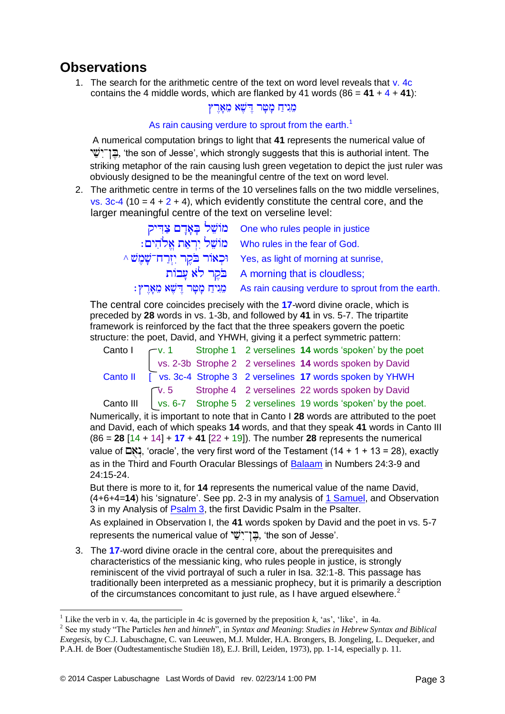#### **Observations**

1. The search for the arithmetic centre of the text on word level reveals that v. 4c contains the 4 middle words, which are flanked by 41 words  $(86 = 41 + 4 + 41)$ ;

#### מֵגִיחַ מַטַּר דִישָׁא מֵאַרִץ

#### As rain causing verdure to sprout from the earth.<sup>1</sup>

A numerical computation brings to light that **41** represents the numerical value of , 'the son of Jesse', which strongly suggests that this is authorial intent. The striking metaphor of the rain causing lush green vegetation to depict the just ruler was obviously designed to be the meaningful centre of the text on word level.

2. The arithmetic centre in terms of the 10 verselines falls on the two middle verselines, vs.  $3c-4$  (10 = 4 + 2 + 4), which evidently constitute the central core, and the larger meaningful centre of the text on verseline level:

| one who rules people in justice מּוֹשֵׁל בָּאָדָם צַדִּיק                            |
|--------------------------------------------------------------------------------------|
| : מוֹשֵׁל יִרְאַת אֱלֹהִים Who rules in the fear of God.                             |
| ^ וּכְאוֹר בֹּקֵר יְזִרַח־שָׁמֵשׁ Yes, as light of morning at sunrise,               |
| A morning that is cloudless;                                                         |
| : מֵגִיחַ כָּזָטֶר דֵישֵׁא מֵאָרֵץ As rain causing verdure to sprout from the earth. |

The central core coincides precisely with the **17**-word divine oracle, which is preceded by **28** words in vs. 1-3b, and followed by **41** in vs. 5-7. The tripartite framework is reinforced by the fact that the three speakers govern the poetic structure: the poet, David, and YHWH, giving it a perfect symmetric pattern:

| Canto I |  | $\Gamma$ v. 1 Strophe 1 2 verselines 14 words 'spoken' by the poet        |
|---------|--|---------------------------------------------------------------------------|
|         |  | vs. 2-3b Strophe 2 2 verselines 14 words spoken by David                  |
|         |  | Canto II [ vs. 3c-4 Strophe 3 2 verselines 17 words spoken by YHWH        |
|         |  | $\sqrt{v}$ . 5 Strophe 4 2 verselines 22 words spoken by David            |
|         |  | Canto III   vs. 6-7 Strophe 5 2 verselines 19 words 'spoken' by the poet. |

Numerically, it is important to note that in Canto I **28** words are attributed to the poet and David, each of which speaks **14** words, and that they speak **41** words in Canto III (86 = **28** [14 + 14] + **17** + **41** [22 + 19]). The number **28** represents the numerical value of  $\Box$ . 'oracle', the very first word of the Testament (14 + 1 + 13 = 28), exactly as in the Third and Fourth Oracular Blessings of [Balaam](http://www.labuschagne.nl/3.num22-24.pdf) in Numbers 24:3-9 and 24:15-24.

But there is more to it, for **14** represents the numerical value of the name David, (4+6+4=**14**) his 'signature'. See pp. 2-3 in my analysis of [1 Samuel,](http://www.labuschagne.nl/samuel.1Samuel1-31.pdf) and Observation 3 in my Analysis of [Psalm 3,](http://www.labuschagne.nl/ps003.htm) the first Davidic Psalm in the Psalter.

As explained in Observation I, the **41** words spoken by David and the poet in vs. 5-7 represents the numerical value of הֲןֹ־יִשֵׁׁי, 'the son of Jesse'.

3. The **17**-word divine oracle in the central core, about the prerequisites and characteristics of the messianic king, who rules people in justice, is strongly reminiscent of the vivid portrayal of such a ruler in Isa. 32:1-8. This passage has traditionally been interpreted as a messianic prophecy, but it is primarily a description of the circumstances concomitant to just rule, as I have argued elsewhere.<sup>2</sup>

<u>.</u>

<sup>&</sup>lt;sup>1</sup> Like the verb in v. 4a, the participle in 4c is governed by the preposition  $k$ , 'as', 'like', in 4a.

<sup>2</sup> See my study "The Particles *hen* and *hinneh*", in *Syntax and Meaning*: *Studies in Hebrew Syntax and Biblical Exegesis*, by C.J. Labuschagne, C. van Leeuwen, M.J. Mulder, H.A. Brongers, B. Jongeling, L. Dequeker, and